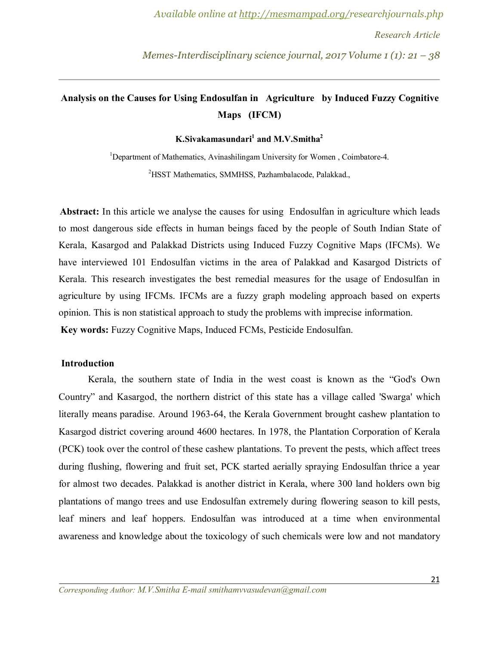# **Analysis on the Causes for Using Endosulfan in Agriculture by Induced Fuzzy Cognitive Maps (IFCM)**

**K.Sivakamasundari<sup>1</sup> and M.V.Smitha<sup>2</sup>**

<sup>1</sup>Department of Mathematics, Avinashilingam University for Women, Coimbatore-4. <sup>2</sup>HSST Mathematics, SMMHSS, Pazhambalacode, Palakkad.,

**Abstract:** In this article we analyse the causes for using Endosulfan in agriculture which leads to most dangerous side effects in human beings faced by the people of South Indian State of Kerala, Kasargod and Palakkad Districts using Induced Fuzzy Cognitive Maps (IFCMs). We have interviewed 101 Endosulfan victims in the area of Palakkad and Kasargod Districts of Kerala. This research investigates the best remedial measures for the usage of Endosulfan in agriculture by using IFCMs. IFCMs are a fuzzy graph modeling approach based on experts opinion. This is non statistical approach to study the problems with imprecise information. **Key words:** Fuzzy Cognitive Maps, Induced FCMs, Pesticide Endosulfan.

# **Introduction**

Kerala, the southern state of India in the west coast is known as the "God's Own Country" and Kasargod, the northern district of this state has a village called 'Swarga' which literally means paradise. Around 1963-64, the Kerala Government brought cashew plantation to Kasargod district covering around 4600 hectares. In 1978, the Plantation Corporation of Kerala (PCK) took over the control of these cashew plantations. To prevent the pests, which affect trees during flushing, flowering and fruit set, PCK started aerially spraying Endosulfan thrice a year for almost two decades. Palakkad is another district in Kerala, where 300 land holders own big plantations of mango trees and use Endosulfan extremely during flowering season to kill pests, leaf miners and leaf hoppers. Endosulfan was introduced at a time when environmental awareness and knowledge about the toxicology of such chemicals were low and not mandatory

*Corresponding Author: M.V.Smitha E-mail smithamvvasudevan@gmail.com*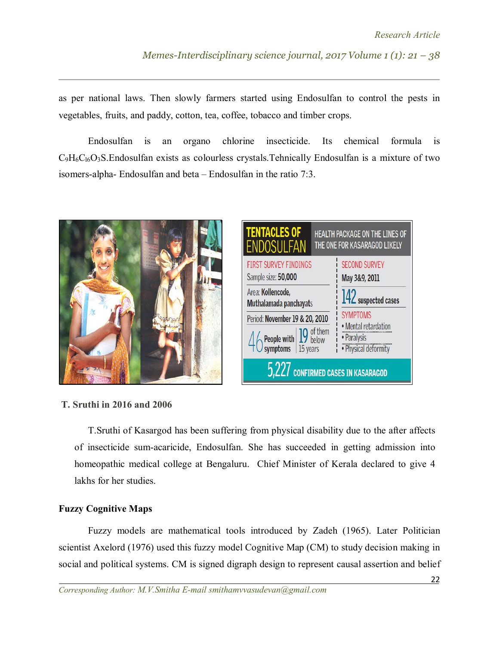as per national laws. Then slowly farmers started using Endosulfan to control the pests in vegetables, fruits, and paddy, cotton, tea, coffee, tobacco and timber crops.

Endosulfan is an organo chlorine insecticide. Its chemical formula is  $C_9H_6C_{16}O_3S$ . Endosulfan exists as colourless crystals. Tehnically Endosulfan is a mixture of two isomers-alpha- Endosulfan and beta – Endosulfan in the ratio 7:3.





# **T. Sruthi in 2016 and 2006**

T.Sruthi of Kasargod has been suffering from physical disability due to the after affects of insecticide sum-acaricide, Endosulfan. She has succeeded in getting admission into homeopathic medical college at Bengaluru. Chief Minister of Kerala declared to give 4 lakhs for her studies.

#### **Fuzzy Cognitive Maps**

Fuzzy models are mathematical tools introduced by Zadeh (1965). Later Politician scientist Axelord (1976) used this fuzzy model Cognitive Map (CM) to study decision making in social and political systems. CM is signed digraph design to represent causal assertion and belief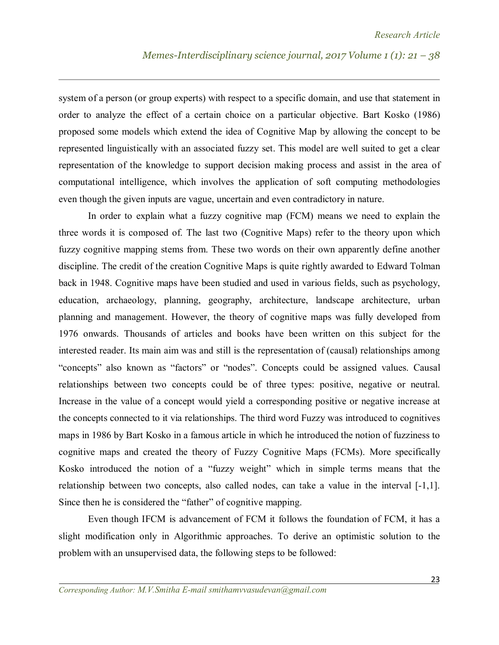system of a person (or group experts) with respect to a specific domain, and use that statement in order to analyze the effect of a certain choice on a particular objective. Bart Kosko (1986) proposed some models which extend the idea of Cognitive Map by allowing the concept to be represented linguistically with an associated fuzzy set. This model are well suited to get a clear representation of the knowledge to support decision making process and assist in the area of computational intelligence, which involves the application of soft computing methodologies even though the given inputs are vague, uncertain and even contradictory in nature.

In order to explain what a fuzzy cognitive map (FCM) means we need to explain the three words it is composed of. The last two (Cognitive Maps) refer to the theory upon which fuzzy cognitive mapping stems from. These two words on their own apparently define another discipline. The credit of the creation Cognitive Maps is quite rightly awarded to Edward Tolman back in 1948. Cognitive maps have been studied and used in various fields, such as psychology, education, archaeology, planning, geography, architecture, landscape architecture, urban planning and management. However, the theory of cognitive maps was fully developed from 1976 onwards. Thousands of articles and books have been written on this subject for the interested reader. Its main aim was and still is the representation of (causal) relationships among "concepts" also known as "factors" or "nodes". Concepts could be assigned values. Causal relationships between two concepts could be of three types: positive, negative or neutral. Increase in the value of a concept would yield a corresponding positive or negative increase at the concepts connected to it via relationships. The third word Fuzzy was introduced to cognitives maps in 1986 by Bart Kosko in a famous article in which he introduced the notion of fuzziness to cognitive maps and created the theory of Fuzzy Cognitive Maps (FCMs). More specifically Kosko introduced the notion of a "fuzzy weight" which in simple terms means that the relationship between two concepts, also called nodes, can take a value in the interval [-1,1]. Since then he is considered the "father" of cognitive mapping.

Even though IFCM is advancement of FCM it follows the foundation of FCM, it has a slight modification only in Algorithmic approaches. To derive an optimistic solution to the problem with an unsupervised data, the following steps to be followed: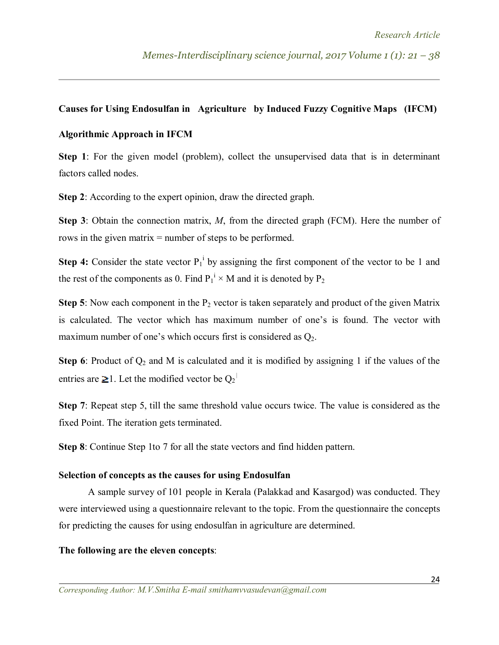### **Causes for Using Endosulfan in Agriculture by Induced Fuzzy Cognitive Maps (IFCM)**

### **Algorithmic Approach in IFCM**

**Step 1**: For the given model (problem), collect the unsupervised data that is in determinant factors called nodes.

**Step 2**: According to the expert opinion, draw the directed graph.

**Step 3**: Obtain the connection matrix, *M*, from the directed graph (FCM). Here the number of rows in the given matrix = number of steps to be performed.

**Step 4:** Consider the state vector  $P_1^i$  by assigning the first component of the vector to be 1 and the rest of the components as 0. Find  $P_1^i \times M$  and it is denoted by  $P_2$ 

**Step 5**: Now each component in the  $P_2$  vector is taken separately and product of the given Matrix is calculated. The vector which has maximum number of one's is found. The vector with maximum number of one's which occurs first is considered as  $O_2$ .

**Step 6**: Product of  $Q_2$  and M is calculated and it is modified by assigning 1 if the values of the entries are ≥1. Let the modified vector be  $Q_2$ <sup> $\mid$ </sup>

**Step 7**: Repeat step 5, till the same threshold value occurs twice. The value is considered as the fixed Point. The iteration gets terminated.

**Step 8**: Continue Step 1to 7 for all the state vectors and find hidden pattern.

#### **Selection of concepts as the causes for using Endosulfan**

 A sample survey of 101 people in Kerala (Palakkad and Kasargod) was conducted. They were interviewed using a questionnaire relevant to the topic. From the questionnaire the concepts for predicting the causes for using endosulfan in agriculture are determined.

#### **The following are the eleven concepts**: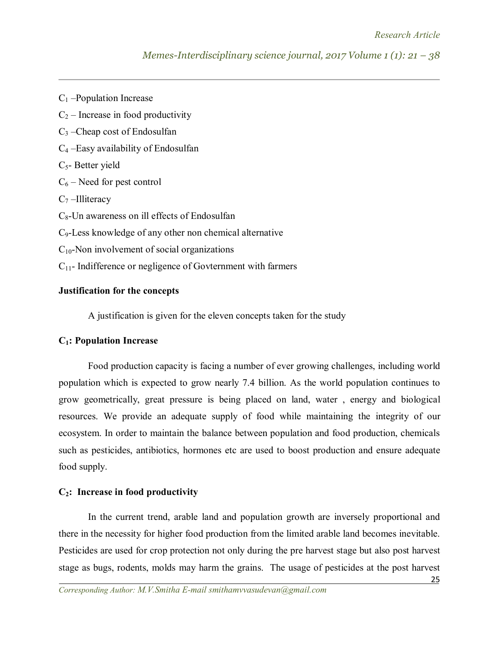- $C_1$  –Population Increase
- $C_2$  Increase in food productivity
- $C_3$  –Cheap cost of Endosulfan
- C<sup>4</sup> –Easy availability of Endosulfan
- $C<sub>5</sub>$  Better yield
- $C_6$  Need for pest control
- $C_7$  –Illiteracy
- C8-Un awareness on ill effects of Endosulfan
- C9-Less knowledge of any other non chemical alternative
- $C_{10}$ -Non involvement of social organizations
- C11- Indifference or negligence of Govternment with farmers

# **Justification for the concepts**

A justification is given for the eleven concepts taken for the study

# **C1: Population Increase**

Food production capacity is facing a number of ever growing challenges, including world population which is expected to grow nearly 7.4 billion. As the world population continues to grow geometrically, great pressure is being placed on land, water , energy and biological resources. We provide an adequate supply of food while maintaining the integrity of our ecosystem. In order to maintain the balance between population and food production, chemicals such as pesticides, antibiotics, hormones etc are used to boost production and ensure adequate food supply.

# **C2: Increase in food productivity**

In the current trend, arable land and population growth are inversely proportional and there in the necessity for higher food production from the limited arable land becomes inevitable. Pesticides are used for crop protection not only during the pre harvest stage but also post harvest stage as bugs, rodents, molds may harm the grains. The usage of pesticides at the post harvest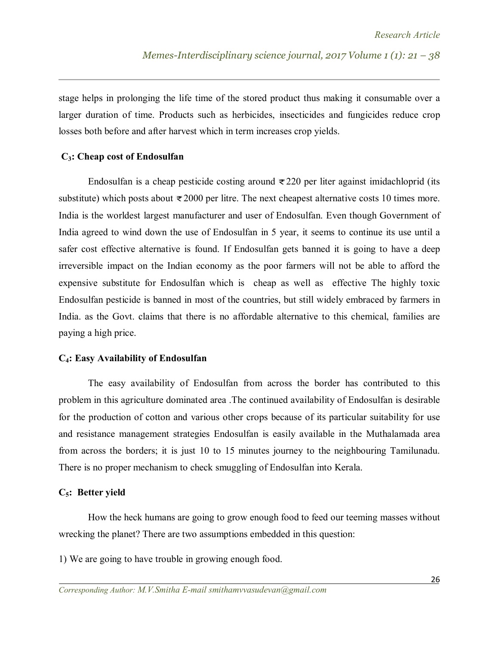stage helps in prolonging the life time of the stored product thus making it consumable over a larger duration of time. Products such as herbicides, insecticides and fungicides reduce crop losses both before and after harvest which in term increases crop yields.

#### **C3: Cheap cost of Endosulfan**

Endosulfan is a cheap pesticide costing around  $\overline{\epsilon}$  220 per liter against imidachloprid (its substitute) which posts about  $\overline{\epsilon}$  2000 per litre. The next cheapest alternative costs 10 times more. India is the worldest largest manufacturer and user of Endosulfan. Even though Government of India agreed to wind down the use of Endosulfan in 5 year, it seems to continue its use until a safer cost effective alternative is found. If Endosulfan gets banned it is going to have a deep irreversible impact on the Indian economy as the poor farmers will not be able to afford the expensive substitute for Endosulfan which is cheap as well as effective The highly toxic Endosulfan pesticide is banned in most of the countries, but still widely embraced by farmers in India. as the Govt. claims that there is no affordable alternative to this chemical, families are paying a high price.

#### **C4: Easy Availability of Endosulfan**

The easy availability of Endosulfan from across the border has contributed to this problem in this agriculture dominated area .The continued availability of Endosulfan is desirable for the production of cotton and various other crops because of its particular suitability for use and resistance management strategies Endosulfan is easily available in the Muthalamada area from across the borders; it is just 10 to 15 minutes journey to the neighbouring Tamilunadu. There is no proper mechanism to check smuggling of Endosulfan into Kerala.

#### **C5: Better yield**

How the heck humans are going to grow enough food to feed our teeming masses without wrecking the planet? There are two assumptions embedded in this question:

1) We are going to have trouble in growing enough food.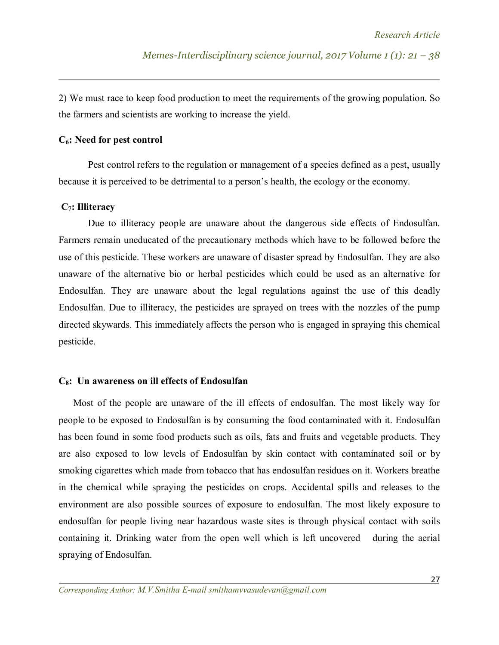2) We must race to keep food production to meet the requirements of the growing population. So the farmers and scientists are working to increase the yield.

#### **C6: Need for pest control**

Pest control refers to the regulation or management of a species defined as a pest, usually because it is perceived to be detrimental to a person's health, the ecology or the economy.

#### **C7: Illiteracy**

 Due to illiteracy people are unaware about the dangerous side effects of Endosulfan. Farmers remain uneducated of the precautionary methods which have to be followed before the use of this pesticide. These workers are unaware of disaster spread by Endosulfan. They are also unaware of the alternative bio or herbal pesticides which could be used as an alternative for Endosulfan. They are unaware about the legal regulations against the use of this deadly Endosulfan. Due to illiteracy, the pesticides are sprayed on trees with the nozzles of the pump directed skywards. This immediately affects the person who is engaged in spraying this chemical pesticide.

#### **C8: Un awareness on ill effects of Endosulfan**

 Most of the people are unaware of the ill effects of endosulfan. The most likely way for people to be exposed to Endosulfan is by consuming the food contaminated with it. Endosulfan has been found in some food products such as oils, fats and fruits and vegetable products. They are also exposed to low levels of Endosulfan by skin contact with contaminated soil or by smoking cigarettes which made from tobacco that has endosulfan residues on it. Workers breathe in the chemical while spraying the pesticides on crops. Accidental spills and releases to the environment are also possible sources of exposure to endosulfan. The most likely exposure to endosulfan for people living near hazardous waste sites is through physical contact with soils containing it. Drinking water from the open well which is left uncovered during the aerial spraying of Endosulfan.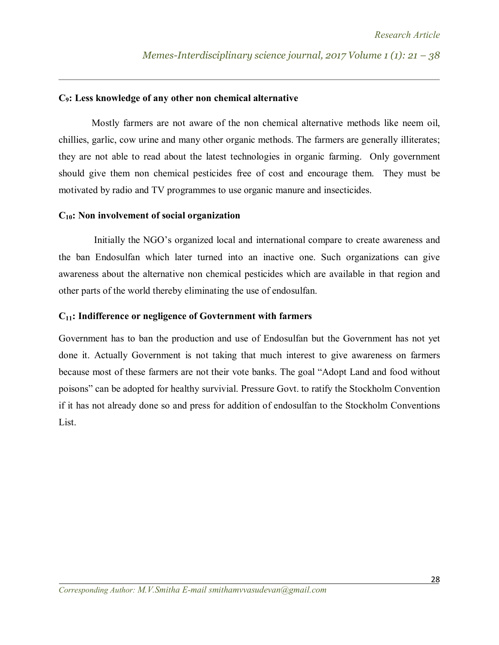#### **C9: Less knowledge of any other non chemical alternative**

Mostly farmers are not aware of the non chemical alternative methods like neem oil, chillies, garlic, cow urine and many other organic methods. The farmers are generally illiterates; they are not able to read about the latest technologies in organic farming. Only government should give them non chemical pesticides free of cost and encourage them. They must be motivated by radio and TV programmes to use organic manure and insecticides.

#### **C10: Non involvement of social organization**

Initially the NGO's organized local and international compare to create awareness and the ban Endosulfan which later turned into an inactive one. Such organizations can give awareness about the alternative non chemical pesticides which are available in that region and other parts of the world thereby eliminating the use of endosulfan.

#### **C11: Indifference or negligence of Govternment with farmers**

Government has to ban the production and use of Endosulfan but the Government has not yet done it. Actually Government is not taking that much interest to give awareness on farmers because most of these farmers are not their vote banks. The goal "Adopt Land and food without poisons" can be adopted for healthy survivial. Pressure Govt. to ratify the Stockholm Convention if it has not already done so and press for addition of endosulfan to the Stockholm Conventions List.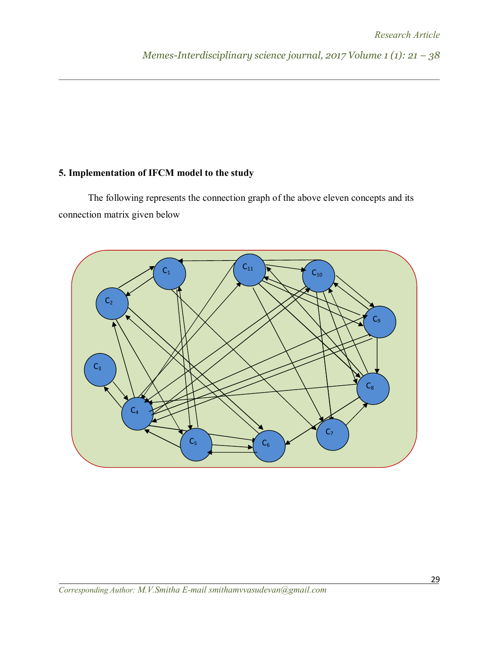# **5. Implementation of IFCM model to the study**

The following represents the connection graph of the above eleven concepts and its connection matrix given below

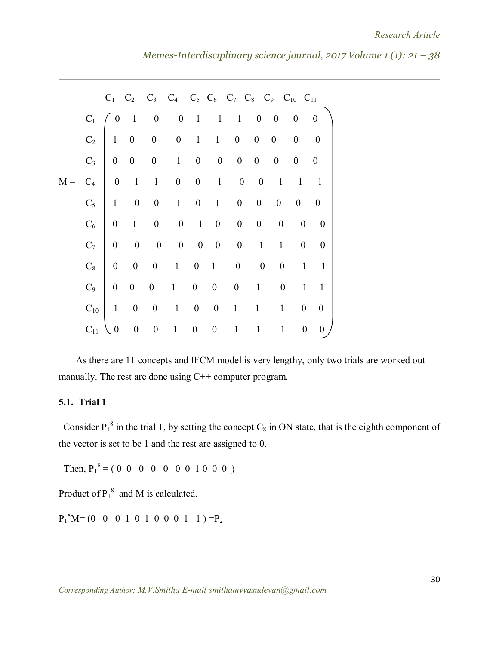|       |          |                  |                  |                          |                                                             |             | $C_1$ $C_2$ $C_3$ $C_4$ $C_5$ $C_6$ $C_7$ $C_8$ $C_9$ $C_{10}$ $C_{11}$ |                 |                  |                     |                  |
|-------|----------|------------------|------------------|--------------------------|-------------------------------------------------------------|-------------|-------------------------------------------------------------------------|-----------------|------------------|---------------------|------------------|
|       |          | $C_1 \neq 0$     |                  |                          |                                                             |             | $1 \t 0 \t 0 \t 1 \t 1 \t 1 \t 0 \t 0 \t 0 \t 0$                        |                 |                  |                     |                  |
|       |          |                  |                  |                          |                                                             |             | $C_2$ 1 0 0 0 1 1 0 0 0                                                 |                 |                  | $\mathbf{0}$        | $\boldsymbol{0}$ |
|       | $C_3$    |                  |                  |                          |                                                             |             | $\begin{matrix} 0 & 0 & 0 & 1 & 0 & 0 & 0 & 0 & 0 & 0 & 0 \end{matrix}$ |                 |                  |                     |                  |
| $M =$ | $C_4$    | $\overline{0}$   |                  |                          |                                                             |             | 1 1 0 0 1 0 0                                                           |                 |                  | $1 \quad 1 \quad 1$ |                  |
|       | $C_5$    |                  |                  |                          | $\begin{array}{cccccccc} 1 & 0 & 0 & 1 & 0 & 1 \end{array}$ |             | $\overline{0}$                                                          | $\overline{0}$  | $\overline{0}$   | $0 \qquad 0$        |                  |
|       | $C_6$    | $\boldsymbol{0}$ |                  |                          | $1 \quad 0 \quad 0 \quad 1 \quad 0$                         |             | $\overline{0}$                                                          | $\vert 0 \vert$ | $\boldsymbol{0}$ | $0\qquad 0$         |                  |
|       | $C_7$    | $\overline{0}$   | $\boldsymbol{0}$ |                          |                                                             |             | $0$ 0 0 0 0                                                             | $\mathbf{1}$    | 1                |                     | $0 \qquad 0$     |
|       | $C_8$    | $\boldsymbol{0}$ | $\boldsymbol{0}$ | $\overline{\phantom{0}}$ |                                                             |             | $1 \quad 0 \quad 1 \quad 0$                                             | $\overline{0}$  | $\overline{0}$   | $1 -$               | $\mathbf{1}$     |
|       | $C_9$ .  | $\boldsymbol{0}$ | $\boldsymbol{0}$ |                          | $0 \quad 1 \quad 0 \quad 0$                                 |             |                                                                         | $0 \t 1$        | $\mathbf{0}$     | $\mathbf{1}$        | $\mathbf{1}$     |
|       | $C_{10}$ | $\mathbf{1}$     | $\boldsymbol{0}$ | $\overline{\phantom{0}}$ |                                                             |             | $1 \quad 0 \quad 0 \quad 1$                                             | 1               | 1                | $\mathbf{0}$        | $\overline{0}$   |
|       | $C_{11}$ | $\boldsymbol{0}$ | $\boldsymbol{0}$ | $\boldsymbol{0}$         | $\mathbf{1}$                                                | $0\qquad 0$ | $\mathbf{1}$                                                            | $\mathbf{1}$    | $\mathbf{1}$     | $\boldsymbol{0}$    | $\boldsymbol{0}$ |

 As there are 11 concepts and IFCM model is very lengthy, only two trials are worked out manually. The rest are done using C++ computer program.

#### **5.1. Trial 1**

Consider  $P_1^8$  in the trial 1, by setting the concept  $C_8$  in ON state, that is the eighth component of the vector is set to be 1 and the rest are assigned to 0.

Then,  ${P_1}^8 = (0 \ 0 \ 0 \ 0 \ 0 \ 0 \ 0 \ 1 \ 0 \ 0 \ 0)$ 

Product of  $P_1^8$  and M is calculated.

 ${P_1}^8M=(0 \t0 \t0 \t1 \t0 \t1 \t0 \t0 \t0 \t1 \t1)=P_2$ 

*Corresponding Author: M.V.Smitha E-mail smithamvvasudevan@gmail.com*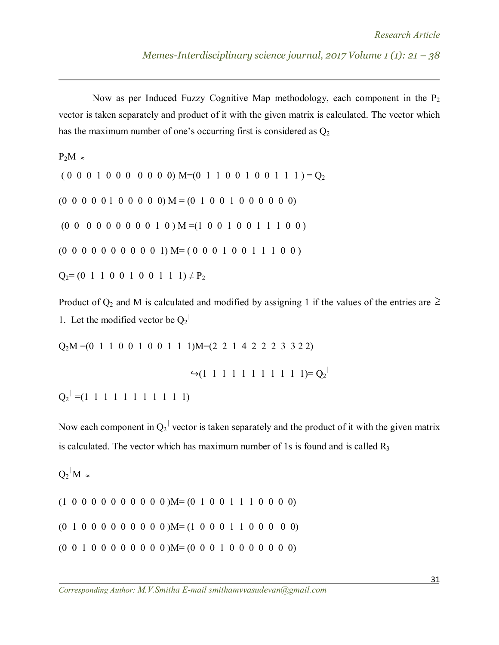Now as per Induced Fuzzy Cognitive Map methodology, each component in the  $P_2$ vector is taken separately and product of it with the given matrix is calculated. The vector which has the maximum number of one's occurring first is considered as  $Q_2$ 

 $P_2M \approx$ 

 $( 0 0 0 1 0 0 0 0 0 0 0)$  M=(0 1 1 0 0 1 0 0 1 1 1 ) = Q<sub>2</sub>

 $(0\ 0\ 0\ 0\ 0\ 1\ 0\ 0\ 0\ 0\ 0)$  M =  $(0\ 1\ 0\ 0\ 1\ 0\ 0\ 0\ 0\ 0\ 0)$ 

 $(0\ 0\ 0\ 0\ 0\ 0\ 0\ 0\ 0\ 1\ 0)$  M =  $(1\ 0\ 0\ 1\ 0\ 0\ 1\ 1\ 1\ 0\ 0)$ 

 $(0\ 0\ 0\ 0\ 0\ 0\ 0\ 0\ 0\ 0\ 1)$  M=  $(0\ 0\ 0\ 1\ 0\ 0\ 1\ 1\ 1\ 0\ 0)$ 

 $Q_2=(0 \ 1 \ 1 \ 0 \ 0 \ 1 \ 0 \ 0 \ 1 \ 1 \ 1) \neq P_2$ 

Product of  $Q_2$  and M is calculated and modified by assigning 1 if the values of the entries are  $\geq$ 1. Let the modified vector be  $Q_2$ <sup> $\vdash$ </sup>

 $Q_2M = (0 1 1 0 0 1 0 0 1 1 1)M = (2 2 1 4 2 2 2 3 3 2 2)$ 

 $\rightarrow$  (1 1 1 1 1 1 1 1 1 1 1)=  $Q_2$ <sup>|</sup>

 $Q_2$ <sup>|</sup> =(1 1 1 1 1 1 1 1 1 1 1 1)

Now each component in  $Q_2$ <sup> $\vert$ </sup> vector is taken separately and the product of it with the given matrix is calculated. The vector which has maximum number of 1s is found and is called  $R_3$ 

 $Q_2$ <sup>|</sup>M  $\approx$ 

 $(1\ 0\ 0\ 0\ 0\ 0\ 0\ 0\ 0\ 0\ 0\ 0)$ M= $(0\ 1\ 0\ 0\ 1\ 1\ 1\ 0\ 0\ 0\ 0)$  $(0 1 0 0 0 0 0 0 0 0 0)$ M= $(1 0 0 0 1 1 0 0 0 0)$ (0 0 1 0 0 0 0 0 0 0 0 )M= (0 0 0 1 0 0 0 0 0 0 0)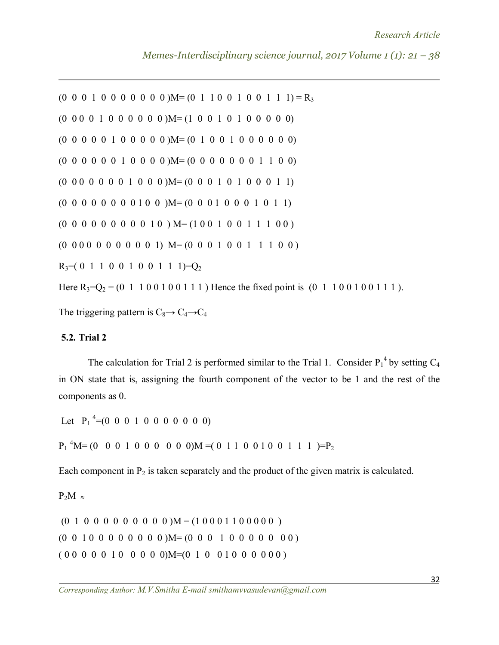```
(0\ 0\ 0\ 1\ 0\ 0\ 0\ 0\ 0\ 0\ 0\ 0)M=(0\ 1\ 1\ 0\ 0\ 1\ 0\ 0\ 1\ 1\ 1)=R<sub>3</sub>
(0\ 0\ 0\ 0\ 1\ 0\ 0\ 0\ 0\ 0\ 0)M=(1\ 0\ 0\ 1\ 0\ 1\ 0\ 0\ 0\ 0\ 0)(0\ 0\ 0\ 0\ 0\ 1\ 0\ 0\ 0\ 0\ 0) M= (0\ 1\ 0\ 0\ 1\ 0\ 0\ 0\ 0\ 0\ 0\ 0)(0 0 0 0 0 0 1 0 0 0 0 )M= (0 0 0 0 0 0 0 1 1 0 0)
(0\ 0\ 0\ 0\ 0\ 0\ 1\ 0\ 0\ 0)M=(0\ 0\ 0\ 1\ 0\ 1\ 0\ 0\ 0\ 1\ 1)(0\ 0\ 0\ 0\ 0\ 0\ 0\ 0\ 1\ 0\ 0\ 0\ 0\ 0\ 1\ 0\ 0\ 0\ 0\ 1\ 0\ 0\ 1\ 0\ 1\ 1)(0\ 0\ 0\ 0\ 0\ 0\ 0\ 0\ 0\ 1\ 0\ 0\ M=(1\ 0\ 0\ 1\ 0\ 0\ 1\ 1\ 1\ 0\ 0\ )(0\ 0\ 0\ 0\ 0\ 0\ 0\ 0\ 0\ 0\ 1) M= (0\ 0\ 0\ 1\ 0\ 0\ 1\ 1\ 1\ 0\ 0)R_3=(0 1 1 0 0 1 0 0 1 1 1) = Q_2
```
Here  $R_3=Q_2 = (0 \ 1 \ 1 \ 0 \ 0 \ 1 \ 0 \ 0 \ 1 \ 1 \ 1)$  Hence the fixed point is  $(0 \ 1 \ 1 \ 0 \ 0 \ 1 \ 0 \ 0 \ 1 \ 1 \ 1)$ .

The triggering pattern is  $C_8 \rightarrow C_4 \rightarrow C_4$ 

#### **5.2. Trial 2**

The calculation for Trial 2 is performed similar to the Trial 1. Consider  $P_1^4$  by setting  $C_4$ in ON state that is, assigning the fourth component of the vector to be 1 and the rest of the components as 0.

Let  $P_1^4 = (0 \ 0 \ 0 \ 1 \ 0 \ 0 \ 0 \ 0 \ 0 \ 0)$ 

 $P_1$ <sup>4</sup>M= (0 0 0 1 0 0 0 0 0 0)M = (0 1 1 0 0 1 0 0 1 1 1 )= $P_2$ 

Each component in  $P_2$  is taken separately and the product of the given matrix is calculated.

# $P_2M \approx$

 $(0 1 0 0 0 0 0 0 0 0 0)$  M =  $(1 0 0 0 1 1 0 0 0 0 0)$  $(0\ 0\ 1\ 0\ 0\ 0\ 0\ 0\ 0\ 0\ 0)$ M= $(0\ 0\ 0\ 1\ 0\ 0\ 0\ 0\ 0\ 0\ 0\ 0)$ ( 0 0 0 0 0 1 0 0 0 0 0)M=(0 1 0 0 1 0 0 0 0 0 0 )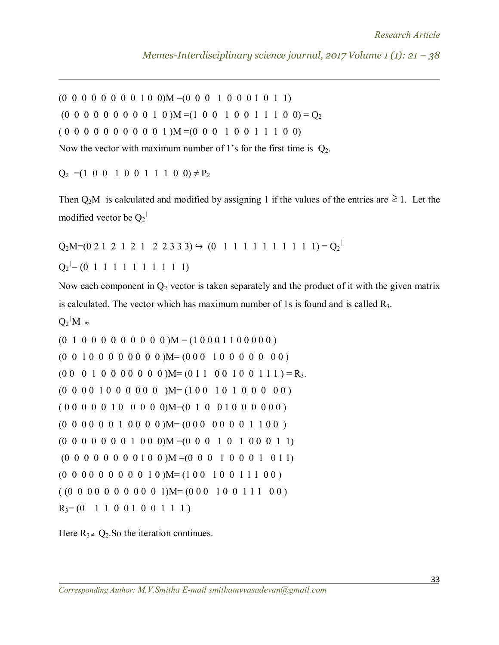$(0\ 0\ 0\ 0\ 0\ 0\ 0\ 0\ 1\ 0\ 0)$ M = $(0\ 0\ 0\ 1\ 0\ 0\ 0\ 1\ 0\ 1\ 1)$ 

 $(0\ 0\ 0\ 0\ 0\ 0\ 0\ 0\ 0\ 1\ 0\ )M = (1\ 0\ 0\ 1\ 0\ 0\ 1\ 1\ 1\ 0\ 0) = Q_2$ 

 $( 0 0 0 0 0 0 0 0 0 0 1 )$  M =  $( 0 0 0 1 0 0 1 1 1 0 0 )$ 

Now the vector with maximum number of 1's for the first time is  $Q_2$ .

 $Q_2 = (1 \ 0 \ 0 \ 1 \ 0 \ 0 \ 1 \ 1 \ 1 \ 0 \ 0) \neq P_2$ 

Then  $Q_2M$  is calculated and modified by assigning 1 if the values of the entries are  $\geq 1$ . Let the modified vector be  $Q_2^{\perp}$ 

 $Q_2M=(0\ 2\ 1\ 2\ 1\ 2\ 1\ 2\ 2\ 3\ 3\ 3) \hookrightarrow (0\ 1\ 1\ 1\ 1\ 1\ 1\ 1\ 1\ 1\ 1) = Q_2$  $Q_2$ <sup>|</sup> = (0 1 1 1 1 1 1 1 1 1 1 1)

Now each component in  $Q_2$  vector is taken separately and the product of it with the given matrix is calculated. The vector which has maximum number of 1s is found and is called  $R_3$ .

 $Q_2|M \approx$ 

 $(0 1 0 0 0 0 0 0 0 0 0)$   $M = (1 0 0 0 1 1 0 0 0 0 0)$  $(0\ 0\ 1\ 0\ 0\ 0\ 0\ 0\ 0\ 0\ 0)$ M= $(0\ 0\ 0\ 1\ 0\ 0\ 0\ 0\ 0\ 0\ 0\ 0)$  $(0\ 0\ 0\ 1\ 0\ 0\ 0\ 0\ 0\ 0\ 0\ 0)$ M= $(0\ 1\ 1\ 0\ 0\ 1\ 0\ 0\ 1\ 1\ 1)$ =R<sub>3</sub>. (0 0 0 0 1 0 0 0 0 0 0 )M= (1 0 0 1 0 1 0 0 0 0 0 ) ( 0 0 0 0 0 1 0 0 0 0 0)M=(0 1 0 0 1 0 0 0 0 0 0 ) (0 0 0 0 0 0 1 0 0 0 0 )M= (0 0 0 0 0 0 0 1 1 0 0 )  $(0\ 0\ 0\ 0\ 0\ 0\ 0\ 1\ 0\ 0\ 0)$ M = $(0\ 0\ 0\ 1\ 0\ 1\ 0\ 0\ 0\ 1\ 1)$  $(0\ 0\ 0\ 0\ 0\ 0\ 0\ 0\ 1\ 0\ 0)$  M =  $(0\ 0\ 0\ 1\ 0\ 0\ 0\ 1\ 0\ 1\ 1)$  $(0\ 0\ 0\ 0\ 0\ 0\ 0\ 0\ 0\ 1\ 0\ )$ M= $(1\ 0\ 0\ 1\ 0\ 0\ 1\ 1\ 1\ 0\ 0\ )$  $((0\ 0\ 0\ 0\ 0\ 0\ 0\ 0\ 0\ 0\ 1)$ M= $(0\ 0\ 0\ 1\ 0\ 0\ 1\ 1\ 1\ 0\ 0)$  $R_3 = (0 \t1 \t1 \t0 \t0 \t1 \t0 \t0 \t1 \t1 \t1)$ 

Here  $R_{3} \neq Q_2$ . So the iteration continues.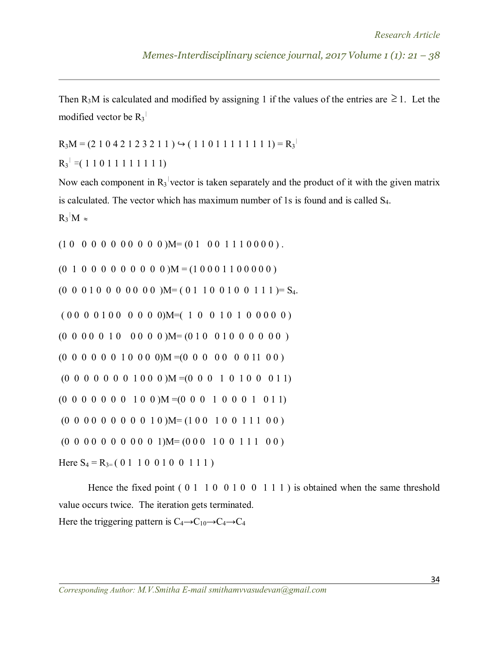Then R<sub>3</sub>M is calculated and modified by assigning 1 if the values of the entries are  $\geq 1$ . Let the modified vector be  $R_3$ <sup> $\vert$ </sup>

 $R_3M = (2 1 0 4 2 1 2 3 2 1 1)$   $\hookrightarrow$  (11011111111) =  $R_3$ <sup>1</sup>

 $R_3$ <sup>|</sup> =( 1 1 0 1 1 1 1 1 1 1 1)

Now each component in  $R_3$  vector is taken separately and the product of it with the given matrix is calculated. The vector which has maximum number of 1s is found and is called S4.

 $R_3$ <sup>|</sup>M  $\approx$ 

 $(1\ 0\ 0\ 0\ 0\ 0\ 0\ 0\ 0\ 0\ 0\ 0)$ M= $(0\ 1\ 0\ 0\ 1\ 1\ 1\ 0\ 0\ 0\ 0)$ .

 $(0 1 0 0 0 0 0 0 0 0 0)$   $M = (1 0 0 0 1 1 0 0 0 0 0)$ 

(0 0 0 1 0 0 0 0 0 0 0 )M= ( 0 1 1 0 0 1 0 0 1 1 1 )= S4.

```
( 0 0 0 0 1 0 0 0 0 0 0)M=( 1 0 0 1 0 1 0 0 0 0 0 )
(0 0 0 0 0 1 0 0 0 0 0 )M= (0 1 0 0 1 0 0 0 0 0 0 )
(0\ 0\ 0\ 0\ 0\ 0\ 1\ 0\ 0\ 0\ 0)M =(0\ 0\ 0\ 0\ 0\ 0\ 0\ 1\ 0\ 0)(0\ 0\ 0\ 0\ 0\ 0\ 0\ 1\ 0\ 0\ 0)M =(0\ 0\ 0\ 1\ 0\ 1\ 0\ 0\ 0\ 1\ 1)(0\ 0\ 0\ 0\ 0\ 0\ 0\ 1\ 0\ 0) M = (0\ 0\ 0\ 1\ 0\ 0\ 0\ 1\ 0\ 1\ 1)(0\ 0\ 0\ 0\ 0\ 0\ 0\ 0\ 0\ 1\ 0\ )M=(1\ 0\ 0\ 1\ 0\ 0\ 1\ 1\ 1\ 0\ 0\ )(0\ 0\ 0\ 0\ 0\ 0\ 0\ 0\ 0\ 0\ 1)M=(0\ 0\ 0\ 1\ 0\ 0\ 1\ 1\ 1\ 0\ 0)
```
Here  $S_4 = R_{3=} (0 1 1 0 0 1 0 0 1 1 1)$ 

Hence the fixed point  $(0 1 1 0 0 1 0 0 1 1 1)$  is obtained when the same threshold value occurs twice. The iteration gets terminated. Here the triggering pattern is  $C_4 \rightarrow C_{10} \rightarrow C_4 \rightarrow C_4$ 

*Corresponding Author: M.V.Smitha E-mail smithamvvasudevan@gmail.com*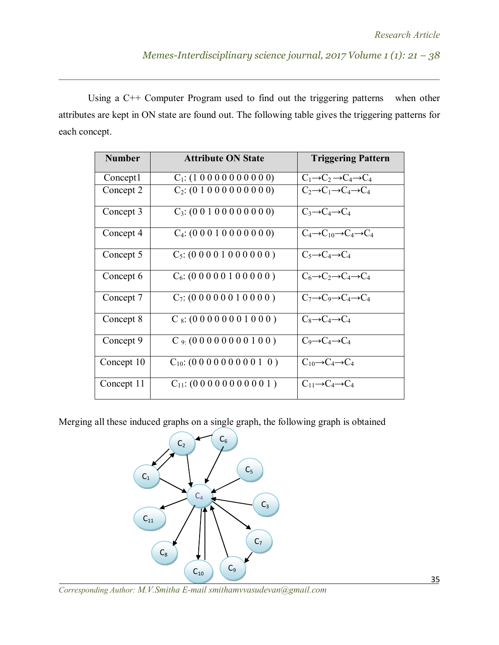Using a C++ Computer Program used to find out the triggering patterns when other attributes are kept in ON state are found out. The following table gives the triggering patterns for each concept.

| <b>Number</b> | <b>Attribute ON State</b>          | <b>Triggering Pattern</b>                                |
|---------------|------------------------------------|----------------------------------------------------------|
| Concept1      | $C_1$ : (1 0 0 0 0 0 0 0 0 0 0 )   | $C_1 \rightarrow C_2 \rightarrow C_4 \rightarrow C_4$    |
| Concept 2     | $C_2$ : (0 1 0 0 0 0 0 0 0 0 0)    | $C_2 \rightarrow C_1 \rightarrow C_4 \rightarrow C_4$    |
| Concept 3     | $C_3$ : (0 0 1 0 0 0 0 0 0 0 0 0)  | $C_3 \rightarrow C_4 \rightarrow C_4$                    |
| Concept 4     | $C_4$ : (0 0 0 1 0 0 0 0 0 0 0)    | $C_4 \rightarrow C_{10} \rightarrow C_4 \rightarrow C_4$ |
| Concept 5     | $C_5$ : (0 0 0 0 1 0 0 0 0 0 0 )   | $C_5 \rightarrow C_4 \rightarrow C_4$                    |
| Concept 6     | $C_6$ : (0 0 0 0 0 1 0 0 0 0 0 )   | $C_6 \rightarrow C_2 \rightarrow C_4 \rightarrow C_4$    |
| Concept 7     | $C_7$ : (0 0 0 0 0 0 1 0 0 0 0 )   | $C_7 \rightarrow C_9 \rightarrow C_4 \rightarrow C_4$    |
| Concept 8     | $C_8$ : (00000001000)              | $C_8 \rightarrow C_4 \rightarrow C_4$                    |
| Concept 9     | $C_{9}$ (00000000100)              | $C_9 \rightarrow C_4 \rightarrow C_4$                    |
| Concept 10    | $C_{10}$ : (0 0 0 0 0 0 0 0 0 1 0) | $C_{10} \rightarrow C_4 \rightarrow C_4$                 |
| Concept 11    | $C_{11}$ : (00000000001)           | $C_{11} \rightarrow C_4 \rightarrow C_4$                 |

Merging all these induced graphs on a single graph, the following graph is obtained



*Corresponding Author: M.V.Smitha E-mail smithamvvasudevan@gmail.com*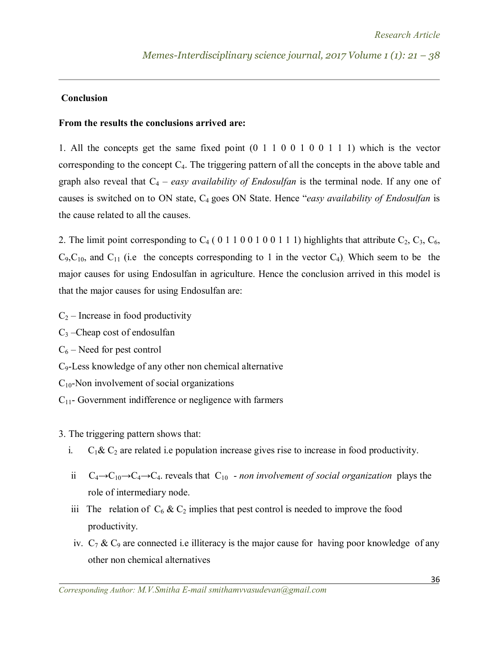#### **Conclusion**

### **From the results the conclusions arrived are:**

1. All the concepts get the same fixed point (0 1 1 0 0 1 0 0 1 1 1) which is the vector corresponding to the concept  $C_4$ . The triggering pattern of all the concepts in the above table and graph also reveal that  $C_4$  – *easy availability of Endosulfan* is the terminal node. If any one of causes is switched on to ON state, C4 goes ON State. Hence "*easy availability of Endosulfan* is the cause related to all the causes.

2. The limit point corresponding to  $C_4$  (0 1 1 0 0 1 0 0 1 1 1) highlights that attribute  $C_2$ ,  $C_3$ ,  $C_6$ ,  $C_9, C_{10}$ , and  $C_{11}$  (i.e the concepts corresponding to 1 in the vector  $C_4$ ). Which seem to be the major causes for using Endosulfan in agriculture. Hence the conclusion arrived in this model is that the major causes for using Endosulfan are:

 $C_2$  – Increase in food productivity

 $C_3$  –Cheap cost of endosulfan  $C_6$  – Need for pest control C9-Less knowledge of any other non chemical alternative  $C_{10}$ -Non involvement of social organizations  $C_{11}$ - Government indifference or negligence with farmers

3. The triggering pattern shows that:

- i.  $C_1 \& C_2$  are related i.e population increase gives rise to increase in food productivity.
- ii  $C_4 \rightarrow C_10 \rightarrow C_4 \rightarrow C_4$ . reveals that  $C_10$   *non involvement of social organization* plays the role of intermediary node.
- iii The relation of  $C_6$  &  $C_2$  implies that pest control is needed to improve the food productivity.
- iv.  $C_7$  &  $C_9$  are connected i.e illiteracy is the major cause for having poor knowledge of any other non chemical alternatives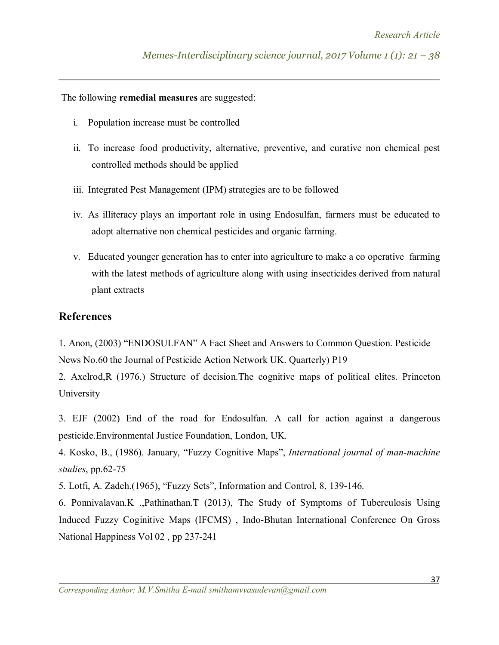The following **remedial measures** are suggested:

- i. Population increase must be controlled
- ii. To increase food productivity, alternative, preventive, and curative non chemical pest controlled methods should be applied
- iii. Integrated Pest Management (IPM) strategies are to be followed
- iv. As illiteracy plays an important role in using Endosulfan, farmers must be educated to adopt alternative non chemical pesticides and organic farming.
- v. Educated younger generation has to enter into agriculture to make a co operative farming with the latest methods of agriculture along with using insecticides derived from natural plant extracts

# **References**

1. Anon, (2003) "ENDOSULFAN" A Fact Sheet and Answers to Common Question. Pesticide News No.60 the Journal of Pesticide Action Network UK. Quarterly) P19

2. Axelrod,R (1976.) Structure of decision.The cognitive maps of political elites. Princeton University

3. EJF (2002) End of the road for Endosulfan. A call for action against a dangerous pesticide.Environmental Justice Foundation, London, UK.

4. Kosko, B., (1986). January, "Fuzzy Cognitive Maps", *International journal of man-machine studies*, pp.62-75

5. Lotfi, A. Zadeh.(1965), "Fuzzy Sets", Information and Control, 8, 139-146.

6. Ponnivalavan.K .,Pathinathan.T (2013), The Study of Symptoms of Tuberculosis Using Induced Fuzzy Coginitive Maps (IFCMS) , Indo-Bhutan International Conference On Gross National Happiness Vol 02 , pp 237-241